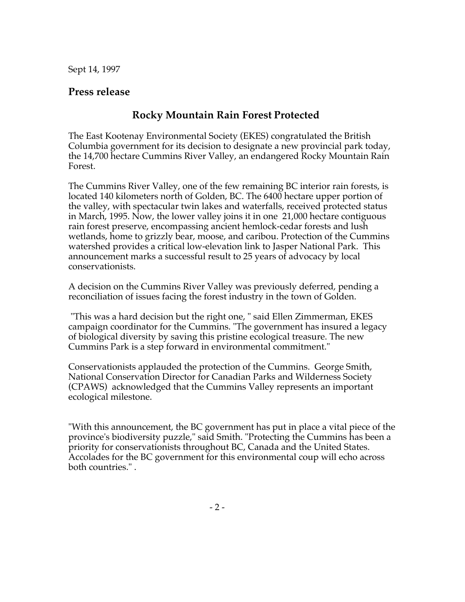Sept 14, 1997

## **Press release**

## **Rocky Mountain Rain Forest Protected**

The East Kootenay Environmental Society (EKES) congratulated the British Columbia government for its decision to designate a new provincial park today, the 14,700 hectare Cummins River Valley, an endangered Rocky Mountain Rain Forest.

The Cummins River Valley, one of the few remaining BC interior rain forests, is located 140 kilometers north of Golden, BC. The 6400 hectare upper portion of the valley, with spectacular twin lakes and waterfalls, received protected status in March, 1995. Now, the lower valley joins it in one 21,000 hectare contiguous rain forest preserve, encompassing ancient hemlock-cedar forests and lush wetlands, home to grizzly bear, moose, and caribou. Protection of the Cummins watershed provides a critical low-elevation link to Jasper National Park. This announcement marks a successful result to 25 years of advocacy by local conservationists.

A decision on the Cummins River Valley was previously deferred, pending a reconciliation of issues facing the forest industry in the town of Golden.

 "This was a hard decision but the right one, " said Ellen Zimmerman, EKES campaign coordinator for the Cummins. "The government has insured a legacy of biological diversity by saving this pristine ecological treasure. The new Cummins Park is a step forward in environmental commitment."

Conservationists applauded the protection of the Cummins. George Smith, National Conservation Director for Canadian Parks and Wilderness Society (CPAWS) acknowledged that the Cummins Valley represents an important ecological milestone.

"With this announcement, the BC government has put in place a vital piece of the province's biodiversity puzzle," said Smith. "Protecting the Cummins has been a priority for conservationists throughout BC, Canada and the United States. Accolades for the BC government for this environmental coup will echo across both countries." .